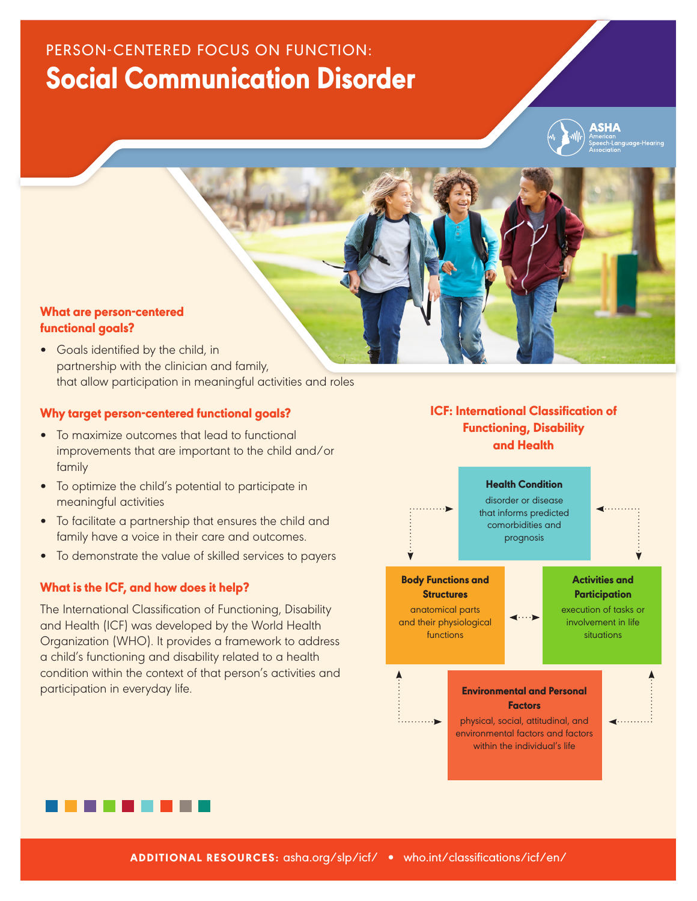# PERSON-CENTERED FOCUS ON FUNCTION: Social Communication Disorder



# What are person-centered functional goals?

• Goals identified by the child, in partnership with the clinician and family, that allow participation in meaningful activities and roles

## Why target person-centered functional goals?

- To maximize outcomes that lead to functional improvements that are important to the child and/or family
- To optimize the child's potential to participate in meaningful activities
- To facilitate a partnership that ensures the child and family have a voice in their care and outcomes.
- To demonstrate the value of skilled services to payers

# What is the ICF, and how does it help?

The International Classification of Functioning, Disability and Health (ICF) was developed by the World Health Organization (WHO). It provides a framework to address a child's functioning and disability related to a health condition within the context of that person's activities and participation in everyday life.

# ICF: International Classification of Functioning, Disability and Health